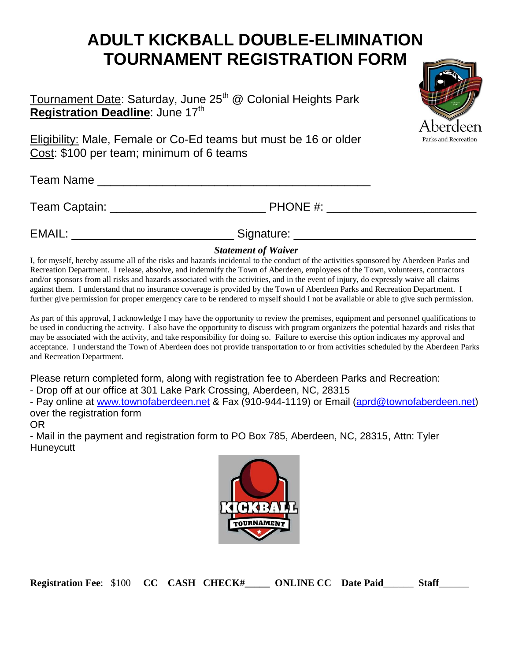## **ADULT KICKBALL DOUBLE-ELIMINATION TOURNAMENT REGISTRATION FORM**

Tournament Date: Saturday, June 25<sup>th</sup> @ Colonial Heights Park **Registration Deadline**: June 17<sup>th</sup>

Eligibility: Male, Female or Co-Ed teams but must be 16 or older Cost: \$100 per team; minimum of 6 teams

Team Name **Executive Server All Accords**  $\sim$ 

Team Captain: The Captain: Team Captain: Team Captain: Team Captain: Team Captain Captain Captain Captain Captain Captain Captain Captain Captain Captain Captain Captain Captain Captain Captain Captain Captain Captain Capt

EMAIL: \_\_\_\_\_\_\_\_\_\_\_\_\_\_\_\_\_\_\_\_\_\_\_\_\_\_\_\_\_\_\_\_\_\_Signature: \_\_\_\_\_\_\_\_\_\_\_\_\_\_\_\_\_\_\_\_\_\_\_\_\_\_\_\_

## *Statement of Waiver*

I, for myself, hereby assume all of the risks and hazards incidental to the conduct of the activities sponsored by Aberdeen Parks and Recreation Department. I release, absolve, and indemnify the Town of Aberdeen, employees of the Town, volunteers, contractors and/or sponsors from all risks and hazards associated with the activities, and in the event of injury, do expressly waive all claims against them. I understand that no insurance coverage is provided by the Town of Aberdeen Parks and Recreation Department. I further give permission for proper emergency care to be rendered to myself should I not be available or able to give such permission.

As part of this approval, I acknowledge I may have the opportunity to review the premises, equipment and personnel qualifications to be used in conducting the activity. I also have the opportunity to discuss with program organizers the potential hazards and risks that may be associated with the activity, and take responsibility for doing so. Failure to exercise this option indicates my approval and acceptance. I understand the Town of Aberdeen does not provide transportation to or from activities scheduled by the Aberdeen Parks and Recreation Department.

Please return completed form, along with registration fee to Aberdeen Parks and Recreation:

- Drop off at our office at 301 Lake Park Crossing, Aberdeen, NC, 28315

- Pay online at [www.townofaberdeen.net](http://www.townofaberdeen.net/) & Fax (910-944-1119) or Email [\(aprd@townofaberdeen.net\)](mailto:aprd@townofaberdeen.net) over the registration form

OR

- Mail in the payment and registration form to PO Box 785, Aberdeen, NC, 28315, Attn: Tyler **Huneycutt** 



**Registration Fee**: \$100 **CC CASH CHECK#\_\_\_\_\_ ONLINE CC Date Paid**\_\_\_\_\_\_ **Staff**\_\_\_\_\_\_

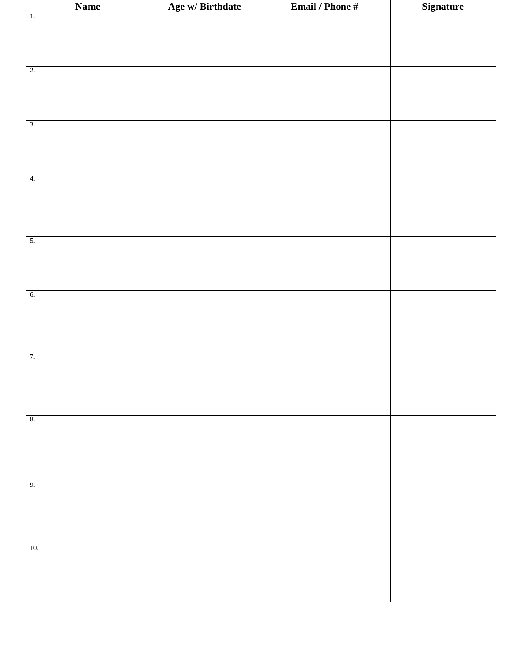| <b>Name</b>      | Age w/ Birthdate | <b>Email / Phone #</b> | <b>Signature</b> |
|------------------|------------------|------------------------|------------------|
| $\overline{1}$ . |                  |                        |                  |
|                  |                  |                        |                  |
|                  |                  |                        |                  |
|                  |                  |                        |                  |
|                  |                  |                        |                  |
| 2.               |                  |                        |                  |
|                  |                  |                        |                  |
|                  |                  |                        |                  |
|                  |                  |                        |                  |
|                  |                  |                        |                  |
| $\overline{3}$ . |                  |                        |                  |
|                  |                  |                        |                  |
|                  |                  |                        |                  |
|                  |                  |                        |                  |
|                  |                  |                        |                  |
| 4.               |                  |                        |                  |
|                  |                  |                        |                  |
|                  |                  |                        |                  |
|                  |                  |                        |                  |
|                  |                  |                        |                  |
| $\overline{5}$ . |                  |                        |                  |
|                  |                  |                        |                  |
|                  |                  |                        |                  |
|                  |                  |                        |                  |
|                  |                  |                        |                  |
| 6.               |                  |                        |                  |
|                  |                  |                        |                  |
|                  |                  |                        |                  |
|                  |                  |                        |                  |
|                  |                  |                        |                  |
|                  |                  |                        |                  |
| 7.               |                  |                        |                  |
|                  |                  |                        |                  |
|                  |                  |                        |                  |
|                  |                  |                        |                  |
|                  |                  |                        |                  |
| 8.               |                  |                        |                  |
|                  |                  |                        |                  |
|                  |                  |                        |                  |
|                  |                  |                        |                  |
|                  |                  |                        |                  |
|                  |                  |                        |                  |
| 9.               |                  |                        |                  |
|                  |                  |                        |                  |
|                  |                  |                        |                  |
|                  |                  |                        |                  |
|                  |                  |                        |                  |
|                  |                  |                        |                  |
| 10.              |                  |                        |                  |
|                  |                  |                        |                  |
|                  |                  |                        |                  |
|                  |                  |                        |                  |
|                  |                  |                        |                  |